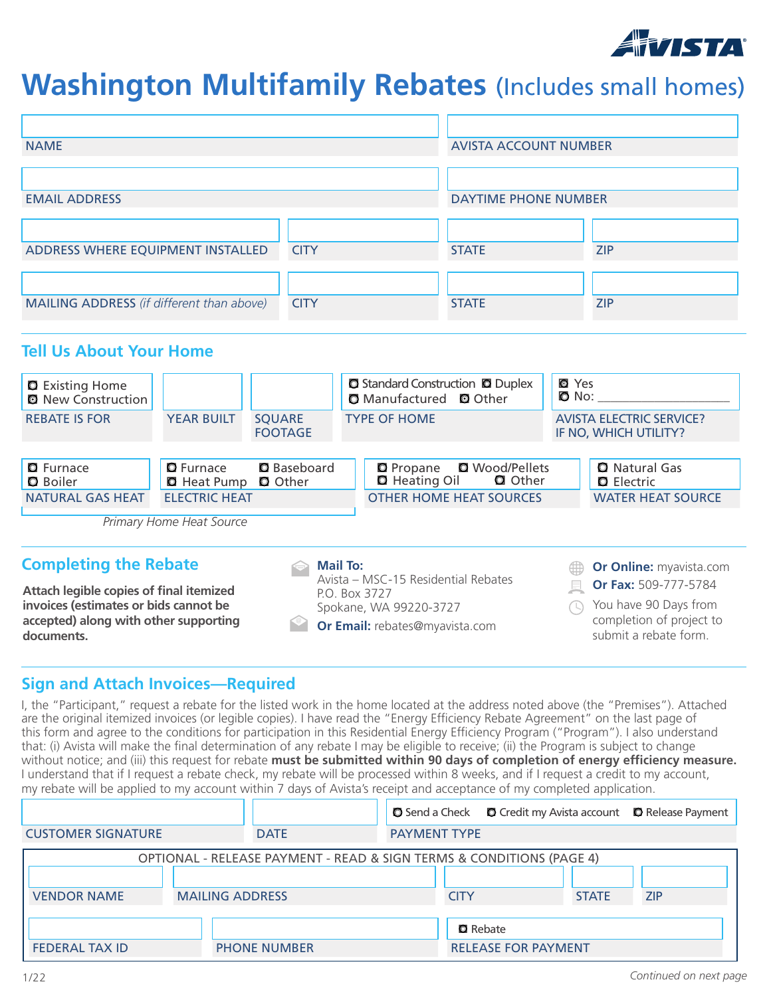

# **Washington Multifamily Rebates** (Includes small homes)

| <b>NAME</b>                                                                                                                             |                                        |                                      |                                                                           | <b>AVISTA ACCOUNT NUMBER</b>                                     |                |                                                                                                    |
|-----------------------------------------------------------------------------------------------------------------------------------------|----------------------------------------|--------------------------------------|---------------------------------------------------------------------------|------------------------------------------------------------------|----------------|----------------------------------------------------------------------------------------------------|
|                                                                                                                                         |                                        |                                      |                                                                           |                                                                  |                |                                                                                                    |
| <b>EMAIL ADDRESS</b>                                                                                                                    |                                        |                                      |                                                                           | <b>DAYTIME PHONE NUMBER</b>                                      |                |                                                                                                    |
|                                                                                                                                         |                                        |                                      |                                                                           |                                                                  |                |                                                                                                    |
| ADDRESS WHERE EQUIPMENT INSTALLED                                                                                                       |                                        | <b>CITY</b>                          |                                                                           | <b>STATE</b>                                                     |                | <b>ZIP</b>                                                                                         |
|                                                                                                                                         |                                        |                                      |                                                                           |                                                                  |                |                                                                                                    |
| MAILING ADDRESS (if different than above)                                                                                               |                                        | <b>CITY</b>                          |                                                                           | <b>STATE</b>                                                     |                | <b>ZIP</b>                                                                                         |
| <b>Tell Us About Your Home</b><br><b>Q</b> Existing Home<br><b>Q</b> New Construction<br><b>REBATE IS FOR</b>                           | <b>YEAR BUILT</b>                      | <b>SQUARE</b><br><b>FOOTAGE</b>      | $\Box$ Manufactured<br><b>TYPE OF HOME</b>                                | <b>Q</b> Standard Construction <b>Q</b> Duplex<br><b>Q</b> Other | <b>Q</b> Yes   | $\bullet$ No:<br><b>AVISTA ELECTRIC SERVICE?</b><br>IF NO, WHICH UTILITY?                          |
|                                                                                                                                         |                                        |                                      |                                                                           |                                                                  |                |                                                                                                    |
| <b>D</b> Furnace<br><b>D</b> Boiler                                                                                                     | <b>D</b> Furnace<br><b>D</b> Heat Pump | <b>D</b> Baseboard<br><b>Q</b> Other | <b>D</b> Propane<br><b>Q</b> Heating Oil                                  | <b>Q</b> Wood/Pellets<br><b>Q</b> Other                          |                | <b>Q</b> Natural Gas<br><b>Q</b> Electric                                                          |
| <b>NATURAL GAS HEAT</b>                                                                                                                 | <b>ELECTRIC HEAT</b>                   |                                      |                                                                           | <b>OTHER HOME HEAT SOURCES</b>                                   |                | <b>WATER HEAT SOURCE</b>                                                                           |
|                                                                                                                                         | Primary Home Heat Source               |                                      |                                                                           |                                                                  |                |                                                                                                    |
| <b>Completing the Rebate</b>                                                                                                            |                                        |                                      | <b>Mail To:</b><br>Avista - MSC-15 Residential Rebates                    |                                                                  |                | Or Online: myavista.com                                                                            |
| Attach legible copies of final itemized<br>invoices (estimates or bids cannot be<br>accepted) along with other supporting<br>documents. |                                        |                                      | P.O. Box 3727<br>Spokane, WA 99220-3727<br>Or Email: rebates@myavista.com |                                                                  | $\blacksquare$ | Or Fax: 509-777-5784<br>You have 90 Days from<br>completion of project to<br>submit a rebate form. |

## **Sign and Attach Invoices—Required**

I, the "Participant," request a rebate for the listed work in the home located at the address noted above (the "Premises"). Attached are the original itemized invoices (or legible copies). I have read the "Energy Efficiency Rebate Agreement" on the last page of this form and agree to the conditions for participation in this Residential Energy Efficiency Program ("Program"). I also understand that: (i) Avista will make the final determination of any rebate I may be eligible to receive; (ii) the Program is subject to change without notice; and (iii) this request for rebate **must be submitted within 90 days of completion of energy efficiency measure.** I understand that if I request a rebate check, my rebate will be processed within 8 weeks, and if I request a credit to my account, my rebate will be applied to my account within 7 days of Avista's receipt and acceptance of my completed application.

|                                              |                                                                      |                     | <b>O</b> Send a Check <b>D</b> Credit my Avista account <b>D</b> Release Payment |            |
|----------------------------------------------|----------------------------------------------------------------------|---------------------|----------------------------------------------------------------------------------|------------|
| <b>CUSTOMER SIGNATURE</b>                    | <b>DATE</b>                                                          | <b>PAYMENT TYPE</b> |                                                                                  |            |
|                                              | OPTIONAL - RELEASE PAYMENT - READ & SIGN TERMS & CONDITIONS (PAGE 4) |                     |                                                                                  |            |
| <b>VENDOR NAME</b>                           | <b>MAILING ADDRESS</b>                                               | <b>CITY</b>         | <b>STATE</b>                                                                     | <b>ZIP</b> |
|                                              |                                                                      |                     | <b>Q</b> Rebate                                                                  |            |
| <b>FEDERAL TAX ID</b><br><b>PHONE NUMBER</b> |                                                                      |                     | <b>RELEASE FOR PAYMENT</b>                                                       |            |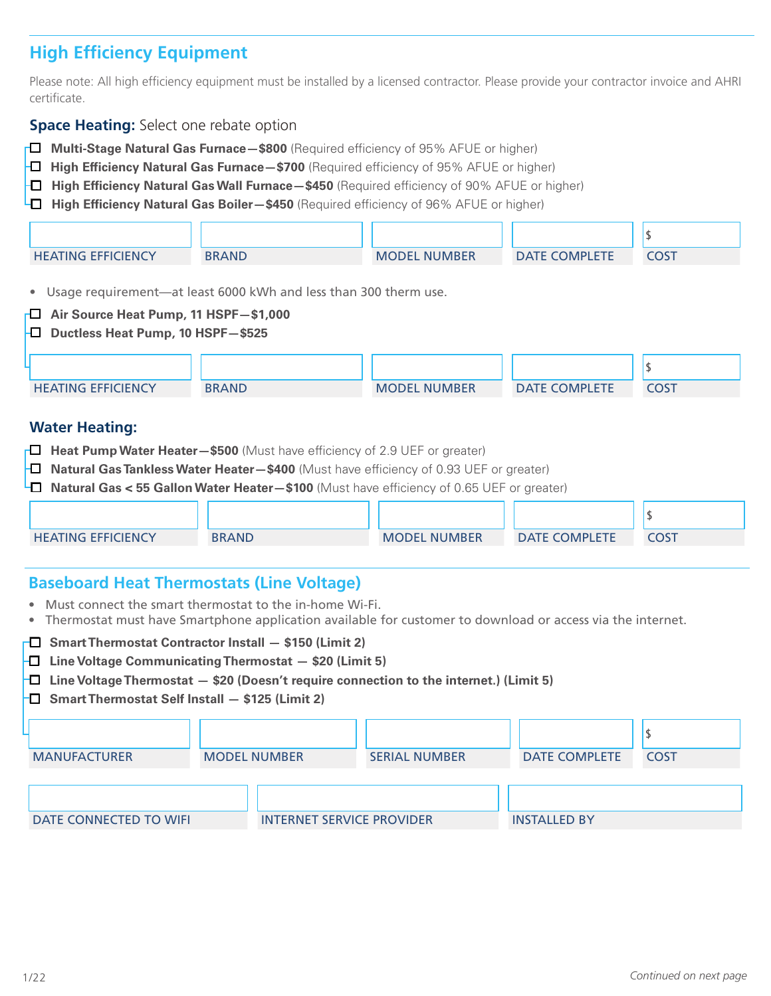# **High Efficiency Equipment**

Please note: All high efficiency equipment must be installed by a licensed contractor. Please provide your contractor invoice and AHRI certificate.

#### **Space Heating:** Select one rebate option

- o **Multi-Stage Natural Gas Furnace—\$800** (Required efficiency of 95% AFUE or higher)
- **D** High Efficiency Natural Gas Furnace \$700 (Required efficiency of 95% AFUE or higher)
- o **High Efficiency Natural Gas Wall Furnace—\$450** (Required efficiency of 90% AFUE or higher)
- **H** High Efficiency Natural Gas Boiler—\$450 (Required efficiency of 96% AFUE or higher)

| <b>HEATING EFFICIENCY</b> | <b>BRAND</b> | <b>MODEL NUMBER</b> | <b>DATE COMPLETE</b> | COST |
|---------------------------|--------------|---------------------|----------------------|------|

• Usage requirement—at least 6000 kWh and less than 300 therm use.

- o **Air Source Heat Pump, 11 HSPF—\$1,000**
- o **Ductless Heat Pump, 10 HSPF—\$525**

| <b>HEATING EFFICIENCY</b> | <b>BRAND</b> | <b>MODEL NUMBER</b> | <b>DATE COMPLETE</b> | COST |
|---------------------------|--------------|---------------------|----------------------|------|

#### **Water Heating:**

- **Heat Pump Water Heater–\$500** (Must have efficiency of 2.9 UEF or greater)
- **D** Natural Gas Tankless Water Heater-\$400 (Must have efficiency of 0.93 UEF or greater)
- o **Natural Gas < 55 Gallon Water Heater—\$100** (Must have efficiency of 0.65 UEF or greater)

| <b>HEATING EFFICIENCY</b> | <b>BRAND</b> | <b>MODEL NUMBER</b> | <b>DATE COMPLETE</b> | COS <sup>T</sup> |
|---------------------------|--------------|---------------------|----------------------|------------------|
|                           |              |                     |                      |                  |

### **Baseboard Heat Thermostats (Line Voltage)**

- Must connect the smart thermostat to the in-home Wi-Fi.
- Thermostat must have Smartphone application available for customer to download or access via the internet.

| $\Box$ Smart Thermostat Contractor Install $-$ \$150 (Limit 2)<br>$\Box$ Line Voltage Communicating Thermostat $-$ \$20 (Limit 5)<br>$\Box$ Line Voltage Thermostat $-$ \$20 (Doesn't require connection to the internet.) (Limit 5)<br>$\Box$ Smart Thermostat Self Install $-$ \$125 (Limit 2) |  |                                  |                      |                      |             |  |  |
|--------------------------------------------------------------------------------------------------------------------------------------------------------------------------------------------------------------------------------------------------------------------------------------------------|--|----------------------------------|----------------------|----------------------|-------------|--|--|
| <b>MANUFACTURER</b>                                                                                                                                                                                                                                                                              |  | <b>MODEL NUMBER</b>              | <b>SERIAL NUMBER</b> | <b>DATE COMPLETE</b> | <b>COST</b> |  |  |
| DATE CONNECTED TO WIFI                                                                                                                                                                                                                                                                           |  | <b>INTERNET SERVICE PROVIDER</b> |                      | <b>INSTALLED BY</b>  |             |  |  |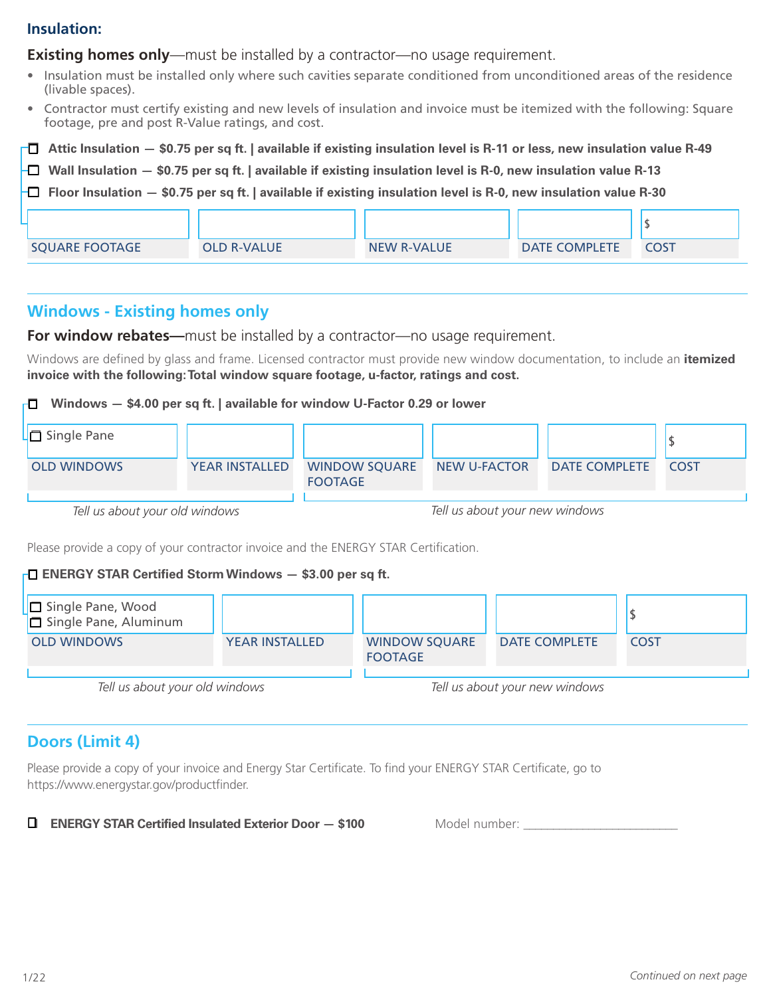## **Insulation:**

**Existing homes only**—must be installed by a contractor—no usage requirement.

- Insulation must be installed only where such cavities separate conditioned from unconditioned areas of the residence (livable spaces).
- Contractor must certify existing and new levels of insulation and invoice must be itemized with the following: Square footage, pre and post R-Value ratings, and cost.
- $\Box$  Attic Insulation \$0.75 per sq ft. | available if existing insulation level is R-11 or less, new insulation value R-49
- o **Wall Insulation \$0.75 per sq ft. | available if existing insulation level is R-0, new insulation value R-13**

o **Floor Insulation — \$0.75 per sq ft. | available if existing insulation level is R-0, new insulation value R-30** 

| <b>SQUARE FOOTAGE</b> | <b>OLD R-VALUE</b> | <b>NEW R-VALUE</b> | <b>DATE COMPLETE</b> | COST |
|-----------------------|--------------------|--------------------|----------------------|------|

## **Windows - Existing homes only**

**For window rebates—**must be installed by a contractor—no usage requirement.

Windows are defined by glass and frame. Licensed contractor must provide new window documentation, to include an **itemized invoice with the following: Total window square footage, u-factor, ratings and cost.**

#### o **Windows — \$4.00 per sq ft. | available for window U-Factor 0.29 or lower**



Please provide a copy of your contractor invoice and the ENERGY STAR Certification.

#### o **ENERGY STAR Certified Storm Windows — \$3.00 per sq ft.**



## **Doors (Limit 4)**

Please provide a copy of your invoice and Energy Star Certificate. To find your ENERGY STAR Certificate, go to https://www.energystar.gov/productfinder.

#### **D ENERGY STAR Certified Insulated Exterior Door**  $-$  **\$100 Model number:**